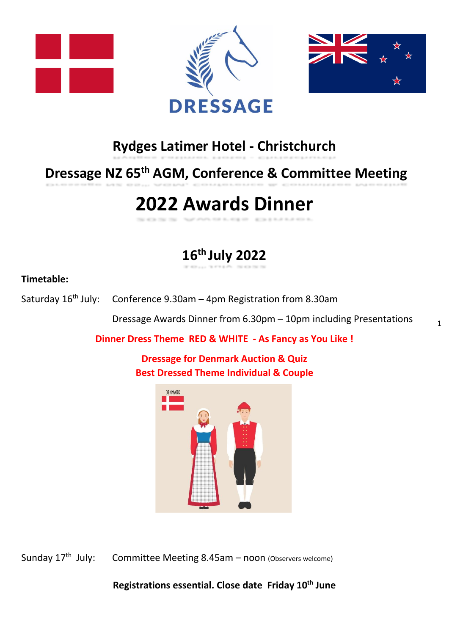





## **Rydges Latimer Hotel - Christchurch**

## **Dressage NZ 65 th AGM, Conference & Committee Meeting**

# **2022 Awards Dinner**

## **16 th July 2022**

### **Timetable:**

Saturday  $16<sup>th</sup>$  July: Conference 9.30am – 4pm Registration from 8.30am

Dressage Awards Dinner from 6.30pm – 10pm including Presentations

**Dinner Dress Theme RED & WHITE - As Fancy as You Like !**

**Dressage for Denmark Auction & Quiz Best Dressed Theme Individual & Couple**



Sunday  $17<sup>th</sup>$  July: Committee Meeting 8.45am – noon (Observers welcome)

**Registrations essential. Close date Friday 10th June**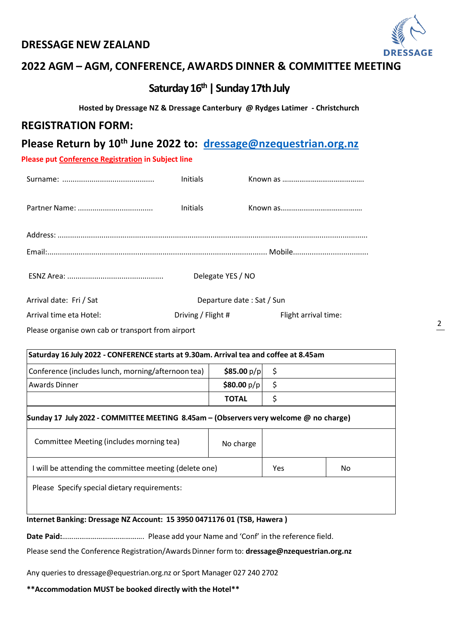#### **DRESSAGE NEW ZEALAND**



2

## **2022 AGM – AGM, CONFERENCE, AWARDS DINNER & COMMITTEE MEETING**

## **Saturday 16 th | Sunday 17thJuly**

#### **Hosted by Dressage NZ & Dressage Canterbury @ Rydges Latimer - Christchurch**

#### **REGISTRATION FORM:**

### **Please Return by 10th June 2022 to: [dressage@nzequestrian.org.nz](mailto:dressage@nzequestrian.org.nz)**

**Please put Conference Registration in Subject line** 

|                         | <b>Initials</b>           |                      |
|-------------------------|---------------------------|----------------------|
|                         | <b>Initials</b>           |                      |
|                         |                           |                      |
|                         |                           |                      |
|                         | Delegate YES / NO         |                      |
| Arrival date: Fri / Sat | Departure date: Sat / Sun |                      |
| Arrival time eta Hotel: | Driving / Flight #        | Flight arrival time: |

Please organise own cab or transport from airport

| Saturday 16 July 2022 - CONFERENCE starts at 9.30am. Arrival tea and coffee at 8.45am |              |  |  |
|---------------------------------------------------------------------------------------|--------------|--|--|
| Conference (includes lunch, morning/afternoon tea)                                    | \$85.00 p/p  |  |  |
| Awards Dinner                                                                         | \$80.00 p/p  |  |  |
|                                                                                       | <b>TOTAL</b> |  |  |
|                                                                                       |              |  |  |

### ....... **Sunday 17 July 2022 - COMMITTEE MEETING 8.45am – (Observers very welcome @ no charge)**

| Committee Meeting (includes morning tea)               | No charge |     |    |  |
|--------------------------------------------------------|-----------|-----|----|--|
| I will be attending the committee meeting (delete one) |           | Yes | No |  |
| Please Specify special dietary requirements:           |           |     |    |  |

#### **Internet Banking: Dressage NZ Account: 15 3950 0471176 01 (TSB, Hawera )**

**Date Paid:**……………………………………. Please add your Name and 'Conf' in the reference field.

Please send the Conference Registration/AwardsDinner form to: **dressage@nzequestrian.org.nz**

Any queries to dressage@equestrian.org.nz or Sport Manager 027 240 2702

**\*\*Accommodation MUST be booked directly with the Hotel\*\***